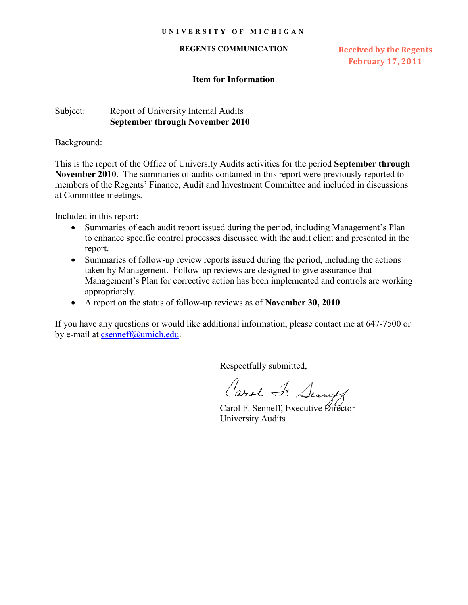#### **REGENTS COMMUNICATION**

**Received by the Regents February 17, 2011** 

## **Item for Information**

# Subject: Report of University Internal Audits **September through November 2010**

Background:

This is the report of the Office of University Audits activities for the period **September through November 2010**. The summaries of audits contained in this report were previously reported to members of the Regents' Finance, Audit and Investment Committee and included in discussions at Committee meetings.

Included in this report:

- Summaries of each audit report issued during the period, including Management's Plan to enhance specific control processes discussed with the audit client and presented in the report.
- Summaries of follow-up review reports issued during the period, including the actions taken by Management. Follow-up reviews are designed to give assurance that Management's Plan for corrective action has been implemented and controls are working appropriately.
- x A report on the status of follow-up reviews as of **November 30, 2010**.

If you have any questions or would like additional information, please contact me at 647-7500 or by e-mail at [csenneff@umich.edu.](mailto:csenneff@umich.edu)

Respectfully submitted,

Carol F. Searet

Carol F. Senneff, Executive Director University Audits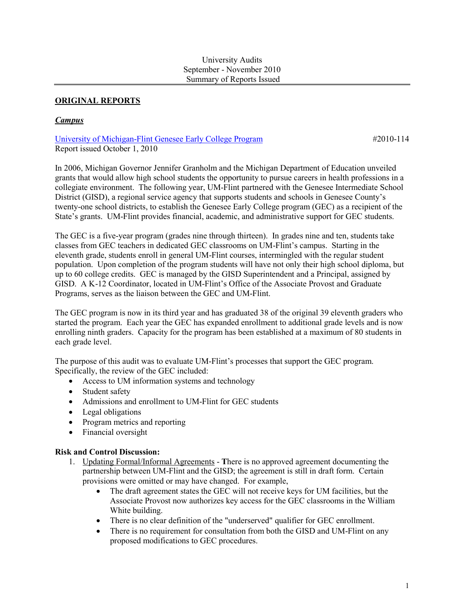## **ORIGINAL REPORTS**

## **Campus**

University of Michigan-Flint Genesee Early College Program Report issued October 1, 2010

#2010-114

In 2006, Michigan Governor Jennifer Granholm and the Michigan Department of Education unveiled grants that would allow high school students the opportunity to pursue careers in health professions in a collegiate environment. The following year, UM-Flint partnered with the Genesee Intermediate School District (GISD), a regional service agency that supports students and schools in Genesee County's twenty-one school districts, to establish the Genesee Early College program (GEC) as a recipient of the State's grants. UM-Flint provides financial, academic, and administrative support for GEC students.

The GEC is a five-year program (grades nine through thirteen). In grades nine and ten, students take classes from GEC teachers in dedicated GEC classrooms on UM-Flint's campus. Starting in the eleventh grade, students enroll in general UM-Flint courses, intermingled with the regular student population. Upon completion of the program students will have not only their high school diploma, but up to 60 college credits. GEC is managed by the GISD Superintendent and a Principal, assigned by GISD. A K-12 Coordinator, located in UM-Flint's Office of the Associate Provost and Graduate Programs, serves as the liaison between the GEC and UM-Flint.

The GEC program is now in its third year and has graduated 38 of the original 39 eleventh graders who started the program. Each year the GEC has expanded enrollment to additional grade levels and is now enrolling ninth graders. Capacity for the program has been established at a maximum of 80 students in each grade level.

The purpose of this audit was to evaluate UM-Flint's processes that support the GEC program. Specifically, the review of the GEC included:

- Access to UM information systems and technology
- Student safety
- Admissions and enrollment to UM-Flint for GEC students
- Legal obligations
- Program metrics and reporting
- Financial oversight

## **Risk and Control Discussion:**

- 1. Updating Formal/Informal Agreements There is no approved agreement documenting the partnership between UM-Flint and the GISD; the agreement is still in draft form. Certain provisions were omitted or may have changed. For example,
	- The draft agreement states the GEC will not receive keys for UM facilities, but the Associate Provost now authorizes key access for the GEC classrooms in the William White building.
	- There is no clear definition of the "underserved" qualifier for GEC enrollment.
	- There is no requirement for consultation from both the GISD and UM-Flint on any  $\bullet$ proposed modifications to GEC procedures.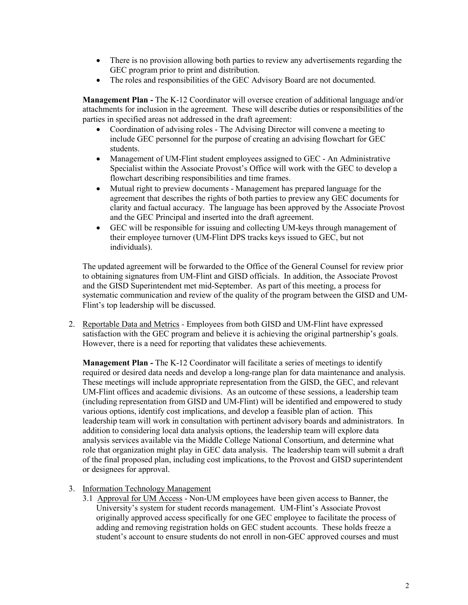- There is no provision allowing both parties to review any advertisements regarding the GEC program prior to print and distribution.
- The roles and responsibilities of the GEC Advisory Board are not documented.  $\bullet$

Management Plan - The K-12 Coordinator will oversee creation of additional language and/or attachments for inclusion in the agreement. These will describe duties or responsibilities of the parties in specified areas not addressed in the draft agreement:

- Coordination of advising roles The Advising Director will convene a meeting to include GEC personnel for the purpose of creating an advising flowchart for GEC students.
- $\bullet$ Management of UM-Flint student employees assigned to GEC - An Administrative Specialist within the Associate Provost's Office will work with the GEC to develop a flowchart describing responsibilities and time frames.
- $\bullet$ Mutual right to preview documents - Management has prepared language for the agreement that describes the rights of both parties to preview any GEC documents for clarity and factual accuracy. The language has been approved by the Associate Provost and the GEC Principal and inserted into the draft agreement.
- GEC will be responsible for issuing and collecting UM-keys through management of  $\bullet$ their employee turnover (UM-Flint DPS tracks keys issued to GEC, but not individuals).

The updated agreement will be forwarded to the Office of the General Counsel for review prior to obtaining signatures from UM-Flint and GISD officials. In addition, the Associate Provost and the GISD Superintendent met mid-September. As part of this meeting, a process for systematic communication and review of the quality of the program between the GISD and UM-Flint's top leadership will be discussed.

2. Reportable Data and Metrics - Employees from both GISD and UM-Flint have expressed satisfaction with the GEC program and believe it is achieving the original partnership's goals. However, there is a need for reporting that validates these achievements.

**Management Plan -** The K-12 Coordinator will facilitate a series of meetings to identify required or desired data needs and develop a long-range plan for data maintenance and analysis. These meetings will include appropriate representation from the GISD, the GEC, and relevant UM-Flint offices and academic divisions. As an outcome of these sessions, a leadership team (including representation from GISD and UM-Flint) will be identified and empowered to study various options, identify cost implications, and develop a feasible plan of action. This leadership team will work in consultation with pertinent advisory boards and administrators. In addition to considering local data analysis options, the leadership team will explore data analysis services available via the Middle College National Consortium, and determine what role that organization might play in GEC data analysis. The leadership team will submit a draft of the final proposed plan, including cost implications, to the Provost and GISD superintendent or designees for approval.

- 3. Information Technology Management
	- 3.1 Approval for UM Access Non-UM employees have been given access to Banner, the University's system for student records management. UM-Flint's Associate Provost originally approved access specifically for one GEC employee to facilitate the process of adding and removing registration holds on GEC student accounts. These holds freeze a student's account to ensure students do not enroll in non-GEC approved courses and must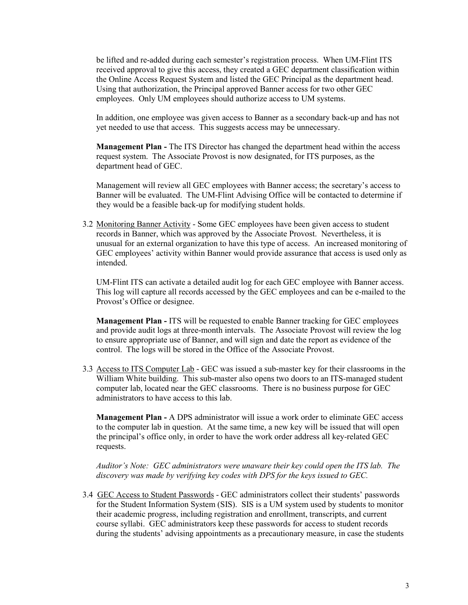be lifted and re-added during each semester's registration process. When UM-Flint ITS received approval to give this access, they created a GEC department classification within the Online Access Request System and listed the GEC Principal as the department head. Using that authorization, the Principal approved Banner access for two other GEC employees. Only UM employees should authorize access to UM systems.

In addition, one employee was given access to Banner as a secondary back-up and has not yet needed to use that access. This suggests access may be unnecessary.

**Management Plan** - The ITS Director has changed the department head within the access request system. The Associate Provost is now designated, for ITS purposes, as the department head of GEC.

Management will review all GEC employees with Banner access; the secretary's access to Banner will be evaluated. The UM-Flint Advising Office will be contacted to determine if they would be a feasible back-up for modifying student holds.

3.2 Monitoring Banner Activity - Some GEC employees have been given access to student records in Banner, which was approved by the Associate Provost. Nevertheless, it is unusual for an external organization to have this type of access. An increased monitoring of GEC employees' activity within Banner would provide assurance that access is used only as intended.

UM-Flint ITS can activate a detailed audit log for each GEC employee with Banner access. This log will capture all records accessed by the GEC employees and can be e-mailed to the Provost's Office or designee.

**Management Plan - ITS will be requested to enable Banner tracking for GEC employees** and provide audit logs at three-month intervals. The Associate Provost will review the log to ensure appropriate use of Banner, and will sign and date the report as evidence of the control. The logs will be stored in the Office of the Associate Provost.

3.3 Access to ITS Computer Lab - GEC was issued a sub-master key for their classrooms in the William White building. This sub-master also opens two doors to an ITS-managed student computer lab, located near the GEC classrooms. There is no business purpose for GEC administrators to have access to this lab.

**Management Plan - A DPS** administrator will issue a work order to eliminate GEC access to the computer lab in question. At the same time, a new key will be issued that will open the principal's office only, in order to have the work order address all key-related GEC requests.

Auditor's Note: GEC administrators were unaware their key could open the ITS lab. The discovery was made by verifying key codes with DPS for the keys issued to GEC.

3.4 GEC Access to Student Passwords - GEC administrators collect their students' passwords for the Student Information System (SIS). SIS is a UM system used by students to monitor their academic progress, including registration and enrollment, transcripts, and current course syllabi. GEC administrators keep these passwords for access to student records during the students' advising appointments as a precautionary measure, in case the students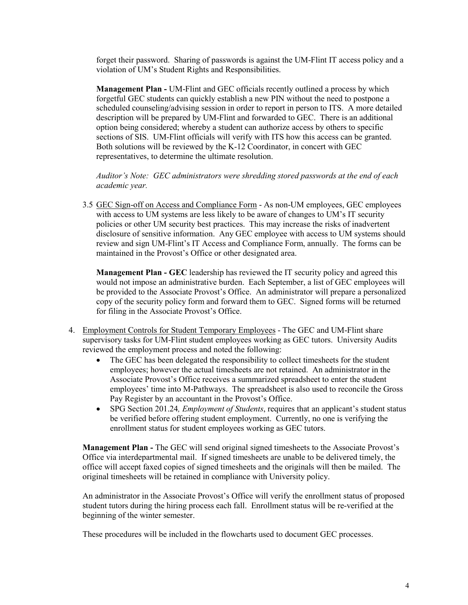forget their password. Sharing of passwords is against the UM-Flint IT access policy and a violation of UM's Student Rights and Responsibilities.

**Management Plan - UM-Flint and GEC officials recently outlined a process by which** forgetful GEC students can quickly establish a new PIN without the need to postpone a scheduled counseling/advising session in order to report in person to ITS. A more detailed description will be prepared by UM-Flint and forwarded to GEC. There is an additional option being considered; whereby a student can authorize access by others to specific sections of SIS. UM-Flint officials will verify with ITS how this access can be granted. Both solutions will be reviewed by the K-12 Coordinator, in concert with GEC representatives, to determine the ultimate resolution.

Auditor's Note: GEC administrators were shredding stored passwords at the end of each academic year.

3.5 GEC Sign-off on Access and Compliance Form - As non-UM employees, GEC employees with access to UM systems are less likely to be aware of changes to UM's IT security policies or other UM security best practices. This may increase the risks of inadvertent disclosure of sensitive information. Any GEC employee with access to UM systems should review and sign UM-Flint's IT Access and Compliance Form, annually. The forms can be maintained in the Provost's Office or other designated area.

**Management Plan - GEC** leadership has reviewed the IT security policy and agreed this would not impose an administrative burden. Each September, a list of GEC employees will be provided to the Associate Provost's Office. An administrator will prepare a personalized copy of the security policy form and forward them to GEC. Signed forms will be returned for filing in the Associate Provost's Office.

- 4. Employment Controls for Student Temporary Employees The GEC and UM-Flint share supervisory tasks for UM-Flint student employees working as GEC tutors. University Audits reviewed the employment process and noted the following:
	- The GEC has been delegated the responsibility to collect timesheets for the student  $\bullet$ employees; however the actual timesheets are not retained. An administrator in the Associate Provost's Office receives a summarized spreadsheet to enter the student employees' time into M-Pathways. The spreadsheet is also used to reconcile the Gross Pay Register by an accountant in the Provost's Office.
	- SPG Section 201.24. *Employment of Students*, requires that an applicant's student status  $\bullet$ be verified before offering student employment. Currently, no one is verifying the enrollment status for student employees working as GEC tutors.

**Management Plan** - The GEC will send original signed timesheets to the Associate Provost's Office via interdepartmental mail. If signed timesheets are unable to be delivered timely, the office will accept faxed copies of signed timesheets and the originals will then be mailed. The original timesheets will be retained in compliance with University policy.

An administrator in the Associate Provost's Office will verify the enrollment status of proposed student tutors during the hiring process each fall. Enrollment status will be re-verified at the beginning of the winter semester.

These procedures will be included in the flowcharts used to document GEC processes.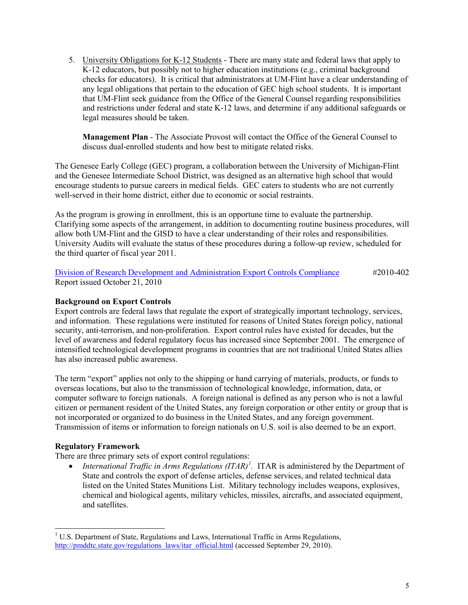5. University Obligations for K-12 Students - There are many state and federal laws that apply to K-12 educators, but possibly not to higher education institutions (e.g., criminal background checks for educators). It is critical that administrators at UM-Flint have a clear understanding of any legal obligations that pertain to the education of GEC high school students. It is important that UM-Flint seek guidance from the Office of the General Counsel regarding responsibilities and restrictions under federal and state K-12 laws, and determine if any additional safeguards or legal measures should be taken.

**Management Plan** - The Associate Provost will contact the Office of the General Counsel to discuss dual-enrolled students and how best to mitigate related risks.

The Genesee Early College (GEC) program, a collaboration between the University of Michigan-Flint and the Genesee Intermediate School District, was designed as an alternative high school that would encourage students to pursue careers in medical fields. GEC caters to students who are not currently well-served in their home district, either due to economic or social restraints.

As the program is growing in enrollment, this is an opportune time to evaluate the partnership. Clarifying some aspects of the arrangement, in addition to documenting routine business procedures, will allow both UM-Flint and the GISD to have a clear understanding of their roles and responsibilities. University Audits will evaluate the status of these procedures during a follow-up review, scheduled for the third quarter of fiscal year 2011.

Division of Research Development and Administration Export Controls Compliance #2010-402 Report issued October 21, 2010

## **Background on Export Controls**

Export controls are federal laws that regulate the export of strategically important technology, services, and information. These regulations were instituted for reasons of United States foreign policy, national security, anti-terrorism, and non-proliferation. Export control rules have existed for decades, but the level of awareness and federal regulatory focus has increased since September 2001. The emergence of intensified technological development programs in countries that are not traditional United States allies has also increased public awareness.

The term "export" applies not only to the shipping or hand carrying of materials, products, or funds to overseas locations, but also to the transmission of technological knowledge, information, data, or computer software to foreign nationals. A foreign national is defined as any person who is not a lawful citizen or permanent resident of the United States, any foreign corporation or other entity or group that is not incorporated or organized to do business in the United States, and any foreign government. Transmission of items or information to foreign nationals on U.S. soil is also deemed to be an export.

#### **Regulatory Framework**

There are three primary sets of export control regulations:

*International Traffic in Arms Regulations (ITAR)<sup>1</sup>.* ITAR is administered by the Department of State and controls the export of defense articles, defense services, and related technical data listed on the United States Munitions List. Military technology includes weapons, explosives, chemical and biological agents, military vehicles, missiles, aircrafts, and associated equipment, and satellites.

<span id="page-5-0"></span><sup>&</sup>lt;sup>1</sup> U.S. Department of State, Regulations and Laws, International Traffic in Arms Regulations, http://pmddtc.state.gov/regulations laws/itar official.html (accessed September 29, 2010).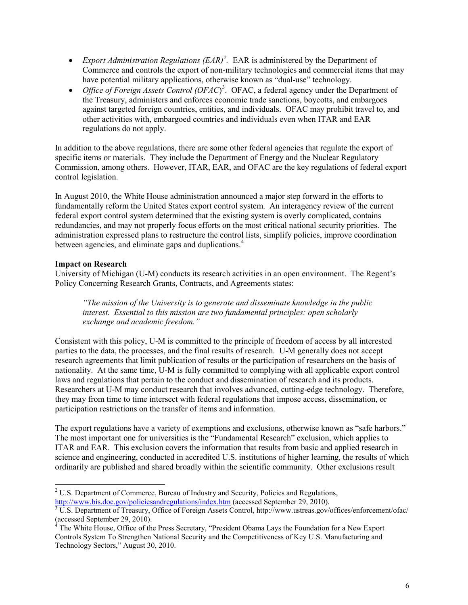- *Export Administration Regulations*  $(EAR)^2$  $(EAR)^2$ *.* EAR is administered by the Department of Commerce and controls the export of non-military technologies and commercial items that may have potential military applications, otherwise known as "dual-use" technology.
- *Office of Foreign Assets Control (OFAC*)<sup>3</sup>. OFAC, a federal agency under the Department of the Treasury, administers and enforces economic trade sanctions, boycotts, and embargoes against targeted foreign countries, entities, and individuals. OFAC may prohibit travel to, and other activities with, embargoed countries and individuals even when ITAR and EAR regulations do not apply.

In addition to the above regulations, there are some other federal agencies that regulate the export of specific items or materials. They include the Department of Energy and the Nuclear Regulatory Commission, among others. However, ITAR, EAR, and OFAC are the key regulations of federal export control legislation.

In August 2010, the White House administration announced a major step forward in the efforts to fundamentally reform the United States export control system. An interagency review of the current federal export control system determined that the existing system is overly complicated, contains redundancies, and may not properly focus efforts on the most critical national security priorities. The administration expressed plans to restructure the control lists, simplify policies, improve coordination between agencies, and eliminate gaps and duplications.<sup>4</sup>

## **Impact on Research**

University of Michigan (U-M) conducts its research activities in an open environment. The Regent's Policy Concerning Research Grants, Contracts, and Agreements states:

*"The mission of the University is to generate and disseminate knowledge in the public interest. Essential to this mission are two fundamental principles: open scholarly exchange and academic freedom."*

Consistent with this policy, U-M is committed to the principle of freedom of access by all interested parties to the data, the processes, and the final results of research. U-M generally does not accept research agreements that limit publication of results or the participation of researchers on the basis of nationality. At the same time, U-M is fully committed to complying with all applicable export control laws and regulations that pertain to the conduct and dissemination of research and its products. Researchers at U-M may conduct research that involves advanced, cutting-edge technology. Therefore, they may from time to time intersect with federal regulations that impose access, dissemination, or participation restrictions on the transfer of items and information.

The export regulations have a variety of exemptions and exclusions, otherwise known as "safe harbors." The most important one for universities is the "Fundamental Research" exclusion, which applies to ITAR and EAR. This exclusion covers the information that results from basic and applied research in science and engineering, conducted in accredited U.S. institutions of higher learning, the results of which ordinarily are published and shared broadly within the scientific community. Other exclusions result

<span id="page-6-0"></span><sup>&</sup>lt;u> 1989 - Johann Stein, fransk politik (d. 1989)</u>  $3$ <sup>2</sup> U.S. Department of Commerce, Bureau of Industry and Security, Policies and Regulations, http://www.bis.doc.gov/policiesandregulations/index.htm (accessed September 29, 2010).

<span id="page-6-1"></span> $\frac{3}{3}$ U.S. Department of Treasury, Office of Foreign Assets Control, http://www.ustreas.gov/offices/enforcement/ofac/ (accessed September 29, 2010).

<span id="page-6-2"></span> $4$  The White House, Office of the Press Secretary, "President Obama Lays the Foundation for a New Export Controls System To Strengthen National Security and the Competitiveness of Key U.S. Manufacturing and Technology Sectors," August 30, 2010.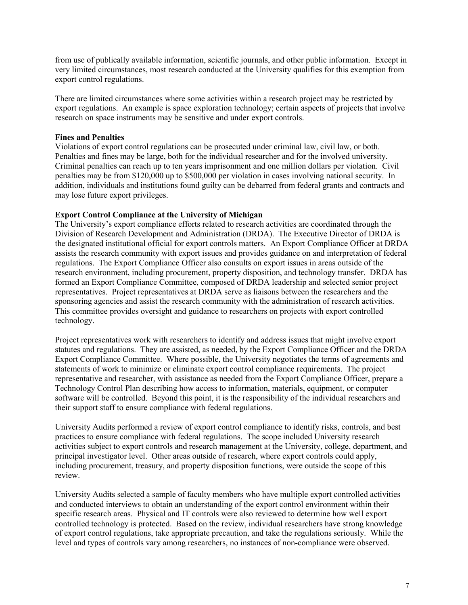from use of publically available information, scientific journals, and other public information. Except in very limited circumstances, most research conducted at the University qualifies for this exemption from export control regulations.

There are limited circumstances where some activities within a research project may be restricted by export regulations. An example is space exploration technology; certain aspects of projects that involve research on space instruments may be sensitive and under export controls.

## **Fines and Penalties**

Violations of export control regulations can be prosecuted under criminal law, civil law, or both. Penalties and fines may be large, both for the individual researcher and for the involved university. Criminal penalties can reach up to ten years imprisonment and one million dollars per violation. Civil penalties may be from \$120,000 up to \$500,000 per violation in cases involving national security. In addition, individuals and institutions found guilty can be debarred from federal grants and contracts and may lose future export privileges.

## **Export Control Compliance at the University of Michigan**

The University's export compliance efforts related to research activities are coordinated through the Division of Research Development and Administration (DRDA). The Executive Director of DRDA is the designated institutional official for export controls matters. An Export Compliance Officer at DRDA assists the research community with export issues and provides guidance on and interpretation of federal regulations. The Export Compliance Officer also consults on export issues in areas outside of the research environment, including procurement, property disposition, and technology transfer. DRDA has formed an Export Compliance Committee, composed of DRDA leadership and selected senior project representatives. Project representatives at DRDA serve as liaisons between the researchers and the sponsoring agencies and assist the research community with the administration of research activities. This committee provides oversight and guidance to researchers on projects with export controlled technology.

Project representatives work with researchers to identify and address issues that might involve export statutes and regulations. They are assisted, as needed, by the Export Compliance Officer and the DRDA Export Compliance Committee. Where possible, the University negotiates the terms of agreements and statements of work to minimize or eliminate export control compliance requirements. The project representative and researcher, with assistance as needed from the Export Compliance Officer, prepare a Technology Control Plan describing how access to information, materials, equipment, or computer software will be controlled. Beyond this point, it is the responsibility of the individual researchers and their support staff to ensure compliance with federal regulations.

University Audits performed a review of export control compliance to identify risks, controls, and best practices to ensure compliance with federal regulations. The scope included University research activities subject to export controls and research management at the University, college, department, and principal investigator level. Other areas outside of research, where export controls could apply, including procurement, treasury, and property disposition functions, were outside the scope of this review.

University Audits selected a sample of faculty members who have multiple export controlled activities and conducted interviews to obtain an understanding of the export control environment within their specific research areas. Physical and IT controls were also reviewed to determine how well export controlled technology is protected. Based on the review, individual researchers have strong knowledge of export control regulations, take appropriate precaution, and take the regulations seriously. While the level and types of controls vary among researchers, no instances of non-compliance were observed.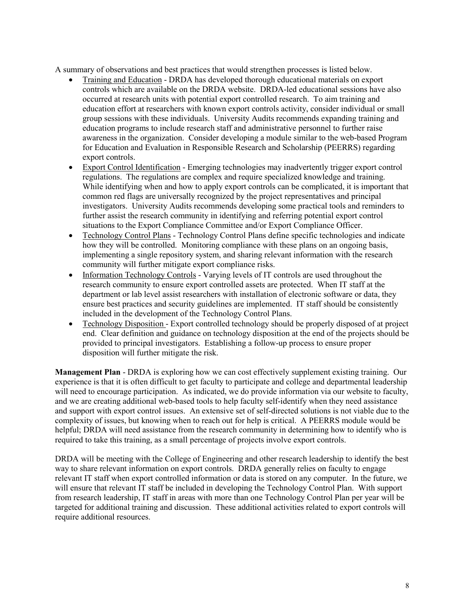A summary of observations and best practices that would strengthen processes is listed below.

- Training and Education DRDA has developed thorough educational materials on export controls which are available on the DRDA website. DRDA-led educational sessions have also occurred at research units with potential export controlled research. To aim training and education effort at researchers with known export controls activity, consider individual or small group sessions with these individuals. University Audits recommends expanding training and education programs to include research staff and administrative personnel to further raise awareness in the organization. Consider developing a module similar to the web-based Program for Education and Evaluation in Responsible Research and Scholarship (PEERRS) regarding export controls.
- Export Control Identification Emerging technologies may inadvertently trigger export control regulations. The regulations are complex and require specialized knowledge and training. While identifying when and how to apply export controls can be complicated, it is important that common red flags are universally recognized by the project representatives and principal investigators. University Audits recommends developing some practical tools and reminders to further assist the research community in identifying and referring potential export control situations to the Export Compliance Committee and/or Export Compliance Officer.
- Technology Control Plans Technology Control Plans define specific technologies and indicate how they will be controlled. Monitoring compliance with these plans on an ongoing basis, implementing a single repository system, and sharing relevant information with the research community will further mitigate export compliance risks.
- Information Technology Controls Varying levels of IT controls are used throughout the  $\bullet$ research community to ensure export controlled assets are protected. When IT staff at the department or lab level assist researchers with installation of electronic software or data, they ensure best practices and security guidelines are implemented. IT staff should be consistently included in the development of the Technology Control Plans.
- Technology Disposition Export controlled technology should be properly disposed of at project  $\bullet$ end. Clear definition and guidance on technology disposition at the end of the projects should be provided to principal investigators. Establishing a follow-up process to ensure proper disposition will further mitigate the risk.

Management Plan - DRDA is exploring how we can cost effectively supplement existing training. Our experience is that it is often difficult to get faculty to participate and college and departmental leadership will need to encourage participation. As indicated, we do provide information via our website to faculty, and we are creating additional web-based tools to help faculty self-identify when they need assistance and support with export control issues. An extensive set of self-directed solutions is not viable due to the complexity of issues, but knowing when to reach out for help is critical. A PEERRS module would be helpful: DRDA will need assistance from the research community in determining how to identify who is required to take this training, as a small percentage of projects involve export controls.

DRDA will be meeting with the College of Engineering and other research leadership to identify the best way to share relevant information on export controls. DRDA generally relies on faculty to engage relevant IT staff when export controlled information or data is stored on any computer. In the future, we will ensure that relevant IT staff be included in developing the Technology Control Plan. With support from research leadership. IT staff in areas with more than one Technology Control Plan per year will be targeted for additional training and discussion. These additional activities related to export controls will require additional resources.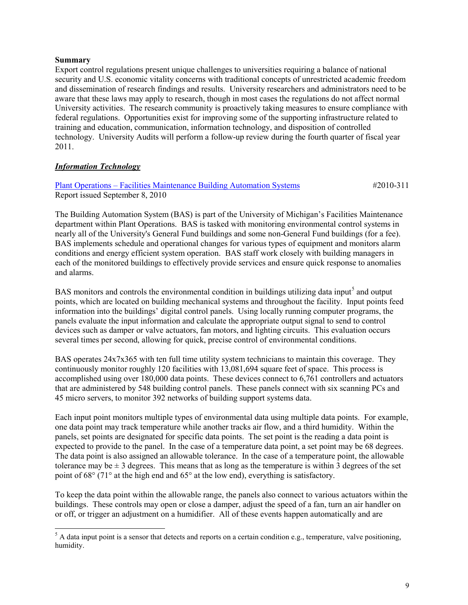#### **Summary**

Export control regulations present unique challenges to universities requiring a balance of national security and U.S. economic vitality concerns with traditional concepts of unrestricted academic freedom and dissemination of research findings and results. University researchers and administrators need to be aware that these laws may apply to research, though in most cases the regulations do not affect normal University activities. The research community is proactively taking measures to ensure compliance with federal regulations. Opportunities exist for improving some of the supporting infrastructure related to training and education, communication, information technology, and disposition of controlled technology. University Audits will perform a follow-up review during the fourth quarter of fiscal year 2011.

## **Information Technology**

## **Plant Operations – Facilities Maintenance Building Automation Systems** Report issued September 8, 2010

 $\#2010 - 311$ 

The Building Automation System (BAS) is part of the University of Michigan's Facilities Maintenance department within Plant Operations. BAS is tasked with monitoring environmental control systems in nearly all of the University's General Fund buildings and some non-General Fund buildings (for a fee). BAS implements schedule and operational changes for various types of equipment and monitors alarm conditions and energy efficient system operation. BAS staff work closely with building managers in each of the monitored buildings to effectively provide services and ensure quick response to anomalies and alarms.

BAS monitors and controls the environmental condition in buildings utilizing data input<sup>5</sup> and output points, which are located on building mechanical systems and throughout the facility. Input points feed information into the buildings' digital control panels. Using locally running computer programs, the panels evaluate the input information and calculate the appropriate output signal to send to control devices such as damper or valve actuators, fan motors, and lighting circuits. This evaluation occurs several times per second, allowing for quick, precise control of environmental conditions.

BAS operates 24x7x365 with ten full time utility system technicians to maintain this coverage. They continuously monitor roughly 120 facilities with 13,081,694 square feet of space. This process is accomplished using over 180,000 data points. These devices connect to 6,761 controllers and actuators that are administered by 548 building control panels. These panels connect with six scanning PCs and 45 micro servers, to monitor 392 networks of building support systems data.

Each input point monitors multiple types of environmental data using multiple data points. For example, one data point may track temperature while another tracks air flow, and a third humidity. Within the panels, set points are designated for specific data points. The set point is the reading a data point is expected to provide to the panel. In the case of a temperature data point, a set point may be 68 degrees. The data point is also assigned an allowable tolerance. In the case of a temperature point, the allowable tolerance may be  $\pm 3$  degrees. This means that as long as the temperature is within 3 degrees of the set point of  $68^{\circ}$  (71° at the high end and  $65^{\circ}$  at the low end), everything is satisfactory.

To keep the data point within the allowable range, the panels also connect to various actuators within the buildings. These controls may open or close a damper, adjust the speed of a fan, turn an air handler on or off, or trigger an adjustment on a humidifier. All of these events happen automatically and are

<span id="page-9-0"></span> $5$  A data input point is a sensor that detects and reports on a certain condition e.g., temperature, valve positioning, humidity.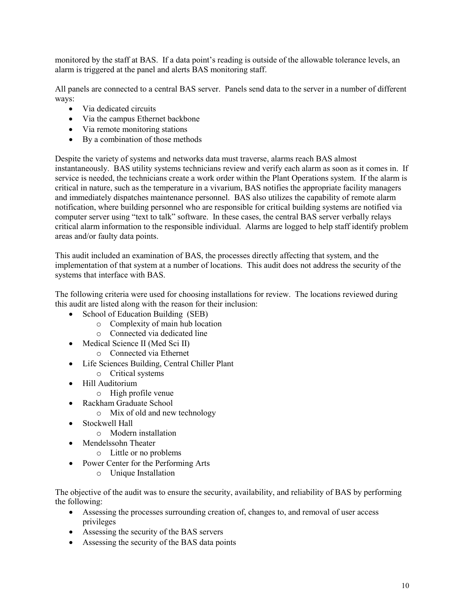monitored by the staff at BAS. If a data point's reading is outside of the allowable tolerance levels, an alarm is triggered at the panel and alerts BAS monitoring staff.

All panels are connected to a central BAS server. Panels send data to the server in a number of different ways:

- Via dedicated circuits
- Via the campus Ethernet backbone
- Via remote monitoring stations
- By a combination of those methods

Despite the variety of systems and networks data must traverse, alarms reach BAS almost instantaneously. BAS utility systems technicians review and verify each alarm as soon as it comes in. If service is needed, the technicians create a work order within the Plant Operations system. If the alarm is critical in nature, such as the temperature in a vivarium, BAS notifies the appropriate facility managers and immediately dispatches maintenance personnel. BAS also utilizes the capability of remote alarm notification, where building personnel who are responsible for critical building systems are notified via computer server using "text to talk" software. In these cases, the central BAS server verbally relays critical alarm information to the responsible individual. Alarms are logged to help staff identify problem areas and/or faulty data points.

This audit included an examination of BAS, the processes directly affecting that system, and the implementation of that system at a number of locations. This audit does not address the security of the systems that interface with BAS.

The following criteria were used for choosing installations for review. The locations reviewed during this audit are listed along with the reason for their inclusion:

- School of Education Building (SEB)
	- o Complexity of main hub location
	- o Connected via dedicated line
- Medical Science II (Med Sci II)
	- o Connected via Ethernet
- Life Sciences Building, Central Chiller Plant
	- o Critical systems
- Hill Auditorium
	- $\circ$  High profile venue
- Rackham Graduate School
	- $\circ$  Mix of old and new technology
- Stockwell Hall
	- o Modern installation
- Mendelssohn Theater
	- o Little or no problems
- Power Center for the Performing Arts
	- $\circ$  Unique Installation

The objective of the audit was to ensure the security, availability, and reliability of BAS by performing the following:

- Assessing the processes surrounding creation of, changes to, and removal of user access privileges
- Assessing the security of the BAS servers
- Assessing the security of the BAS data points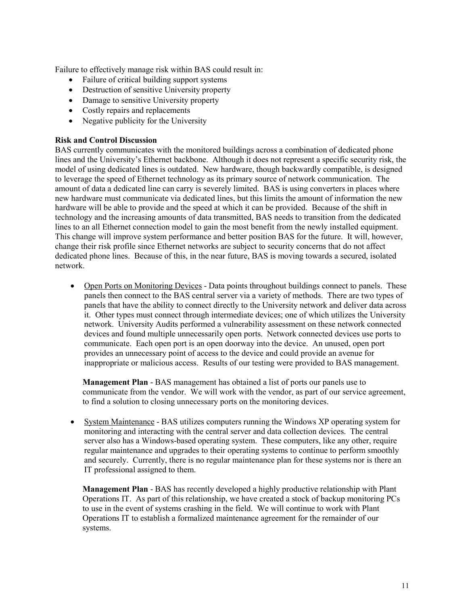Failure to effectively manage risk within BAS could result in:

- Failure of critical building support systems
- Destruction of sensitive University property
- Damage to sensitive University property
- Costly repairs and replacements
- Negative publicity for the University

## **Risk and Control Discussion**

BAS currently communicates with the monitored buildings across a combination of dedicated phone lines and the University's Ethernet backbone. Although it does not represent a specific security risk, the model of using dedicated lines is outdated. New hardware, though backwardly compatible, is designed to leverage the speed of Ethernet technology as its primary source of network communication. The amount of data a dedicated line can carry is severely limited. BAS is using converters in places where new hardware must communicate via dedicated lines, but this limits the amount of information the new hardware will be able to provide and the speed at which it can be provided. Because of the shift in technology and the increasing amounts of data transmitted, BAS needs to transition from the dedicated lines to an all Ethernet connection model to gain the most benefit from the newly installed equipment. This change will improve system performance and better position BAS for the future. It will, however, change their risk profile since Ethernet networks are subject to security concerns that do not affect dedicated phone lines. Because of this, in the near future, BAS is moving towards a secured, isolated network.

• Open Ports on Monitoring Devices - Data points throughout buildings connect to panels. These panels then connect to the BAS central server via a variety of methods. There are two types of panels that have the ability to connect directly to the University network and deliver data across it. Other types must connect through intermediate devices; one of which utilizes the University network. University Audits performed a vulnerability assessment on these network connected devices and found multiple unnecessarily open ports. Network connected devices use ports to communicate. Each open port is an open doorway into the device. An unused, open port provides an unnecessary point of access to the device and could provide an avenue for inappropriate or malicious access. Results of our testing were provided to BAS management.

Management Plan - BAS management has obtained a list of ports our panels use to communicate from the vendor. We will work with the vendor, as part of our service agreement, to find a solution to closing unnecessary ports on the monitoring devices.

System Maintenance - BAS utilizes computers running the Windows XP operating system for  $\bullet$ monitoring and interacting with the central server and data collection devices. The central server also has a Windows-based operating system. These computers, like any other, require regular maintenance and upgrades to their operating systems to continue to perform smoothly and securely. Currently, there is no regular maintenance plan for these systems nor is there an IT professional assigned to them.

**Management Plan** - BAS has recently developed a highly productive relationship with Plant Operations IT. As part of this relationship, we have created a stock of backup monitoring PCs to use in the event of systems crashing in the field. We will continue to work with Plant Operations IT to establish a formalized maintenance agreement for the remainder of our systems.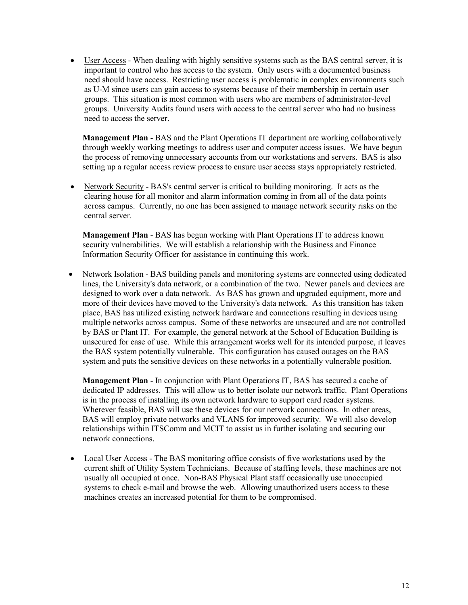• User Access - When dealing with highly sensitive systems such as the BAS central server, it is important to control who has access to the system. Only users with a documented business need should have access. Restricting user access is problematic in complex environments such as U-M since users can gain access to systems because of their membership in certain user groups. This situation is most common with users who are members of administrator-level groups. University Audits found users with access to the central server who had no business need to access the server.

**Management Plan** - BAS and the Plant Operations IT department are working collaboratively through weekly working meetings to address user and computer access issues. We have begun the process of removing unnecessary accounts from our workstations and servers. BAS is also setting up a regular access review process to ensure user access stays appropriately restricted.

• Network Security - BAS's central server is critical to building monitoring. It acts as the clearing house for all monitor and alarm information coming in from all of the data points across campus. Currently, no one has been assigned to manage network security risks on the central server.

Management Plan - BAS has begun working with Plant Operations IT to address known security vulnerabilities. We will establish a relationship with the Business and Finance Information Security Officer for assistance in continuing this work.

Network Isolation - BAS building panels and monitoring systems are connected using dedicated lines, the University's data network, or a combination of the two. Newer panels and devices are designed to work over a data network. As BAS has grown and upgraded equipment, more and more of their devices have moved to the University's data network. As this transition has taken place, BAS has utilized existing network hardware and connections resulting in devices using multiple networks across campus. Some of these networks are unsecured and are not controlled by BAS or Plant IT. For example, the general network at the School of Education Building is unsecured for ease of use. While this arrangement works well for its intended purpose, it leaves the BAS system potentially vulnerable. This configuration has caused outages on the BAS system and puts the sensitive devices on these networks in a potentially vulnerable position.

**Management Plan** - In conjunction with Plant Operations IT, BAS has secured a cache of dedicated IP addresses. This will allow us to better isolate our network traffic. Plant Operations is in the process of installing its own network hardware to support card reader systems. Wherever feasible, BAS will use these devices for our network connections. In other areas, BAS will employ private networks and VLANS for improved security. We will also develop relationships within ITSComm and MCIT to assist us in further isolating and securing our network connections.

Local User Access - The BAS monitoring office consists of five workstations used by the  $\bullet$ current shift of Utility System Technicians. Because of staffing levels, these machines are not usually all occupied at once. Non-BAS Physical Plant staff occasionally use unoccupied systems to check e-mail and browse the web. Allowing unauthorized users access to these machines creates an increased potential for them to be compromised.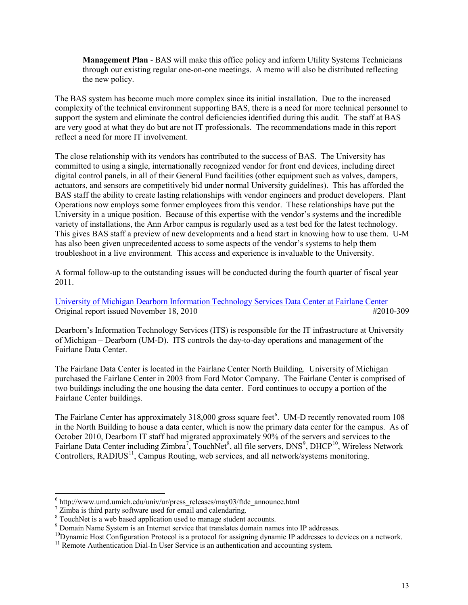**Management Plan - BAS** will make this office policy and inform Utility Systems Technicians through our existing regular one-on-one meetings. A memo will also be distributed reflecting the new policy.

The BAS system has become much more complex since its initial installation. Due to the increased complexity of the technical environment supporting BAS, there is a need for more technical personnel to support the system and eliminate the control deficiencies identified during this audit. The staff at BAS are very good at what they do but are not IT professionals. The recommendations made in this report reflect a need for more IT involvement.

The close relationship with its vendors has contributed to the success of BAS. The University has committed to using a single, internationally recognized vendor for front end devices, including direct digital control panels, in all of their General Fund facilities (other equipment such as valves, dampers, actuators, and sensors are competitively bid under normal University guidelines). This has afforded the BAS staff the ability to create lasting relationships with vendor engineers and product developers. Plant Operations now employs some former employees from this vendor. These relationships have put the University in a unique position. Because of this expertise with the vendor's systems and the incredible variety of installations, the Ann Arbor campus is regularly used as a test bed for the latest technology. This gives BAS staff a preview of new developments and a head start in knowing how to use them. U-M has also been given unprecedented access to some aspects of the vendor's systems to help them troubleshoot in a live environment. This access and experience is invaluable to the University.

A formal follow-up to the outstanding issues will be conducted during the fourth quarter of fiscal year 2011.

University of Michigan Dearborn Information Technology Services Data Center at Fairlane Center Original report issued November 18, 2010 #2010-309

Dearborn's Information Technology Services (ITS) is responsible for the IT infrastructure at University of Michigan – Dearborn (UM-D). ITS controls the day-to-day operations and management of the Fairlane Data Center.

The Fairlane Data Center is located in the Fairlane Center North Building. University of Michigan purchased the Fairlane Center in 2003 from Ford Motor Company. The Fairlane Center is comprised of two buildings including the one housing the data center. Ford continues to occupy a portion of the Fairlane Center buildings.

The Fairlane Center has approximately 318,000 gross square feet<sup>6</sup>. UM-D recently renovated room 108 in the North Building to house a data center, which is now the primary data center for the campus. As of October 2010, Dearborn IT staff had migrated approximately 90% of the servers and services to the Fairlane Data Center including Zimbra<sup>7</sup>, TouchNet<sup>8</sup>, all file servers, DNS<sup>9</sup>, DHCP<sup>10</sup>, Wireless Network Controllers, RADIUS<sup>11</sup>, Campus Routing, web services, and all network/systems monitoring.

<span id="page-13-0"></span> $6$  http://www.umd.umich.edu/univ/ur/press releases/may03/ftdc announce.html

<span id="page-13-1"></span> $\frac{7}{2}$  Zimba is third party software used for email and calendaring.

<span id="page-13-2"></span><sup>&</sup>lt;sup>8</sup> TouchNet is a web based application used to manage student accounts.

<span id="page-13-3"></span><sup>&</sup>lt;sup>9</sup> Domain Name System is an Internet service that translates domain names into IP addresses.

<span id="page-13-4"></span> $^{10}$ Dynamic Host Configuration Protocol is a protocol for assigning dynamic IP addresses to devices on a network.

<span id="page-13-5"></span> $11$  Remote Authentication Dial-In User Service is an authentication and accounting system.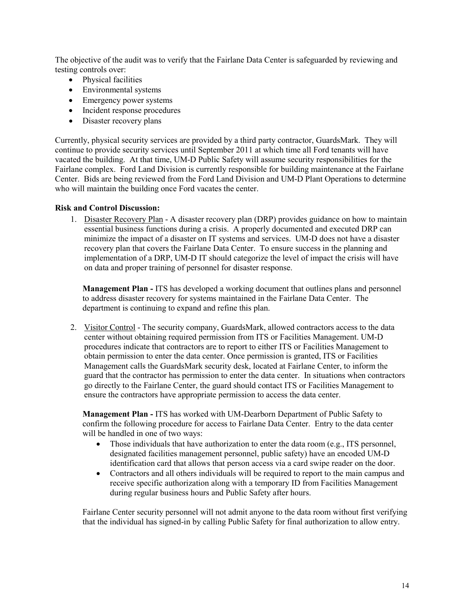The objective of the audit was to verify that the Fairlane Data Center is safeguarded by reviewing and testing controls over:

- Physical facilities
- Environmental systems
- Emergency power systems
- Incident response procedures
- Disaster recovery plans

Currently, physical security services are provided by a third party contractor, GuardsMark. They will continue to provide security services until September 2011 at which time all Ford tenants will have vacated the building. At that time, UM-D Public Safety will assume security responsibilities for the Fairlane complex. Ford Land Division is currently responsible for building maintenance at the Fairlane Center. Bids are being reviewed from the Ford Land Division and UM-D Plant Operations to determine who will maintain the building once Ford vacates the center.

## **Risk and Control Discussion:**

1. Disaster Recovery Plan - A disaster recovery plan (DRP) provides guidance on how to maintain essential business functions during a crisis. A properly documented and executed DRP can minimize the impact of a disaster on IT systems and services. UM-D does not have a disaster recovery plan that covers the Fairlane Data Center. To ensure success in the planning and implementation of a DRP, UM-D IT should categorize the level of impact the crisis will have on data and proper training of personnel for disaster response.

**Management Plan - ITS** has developed a working document that outlines plans and personnel to address disaster recovery for systems maintained in the Fairlane Data Center. The department is continuing to expand and refine this plan.

2. Visitor Control - The security company, GuardsMark, allowed contractors access to the data center without obtaining required permission from ITS or Facilities Management. UM-D procedures indicate that contractors are to report to either ITS or Facilities Management to obtain permission to enter the data center. Once permission is granted, ITS or Facilities Management calls the GuardsMark security desk, located at Fairlane Center, to inform the guard that the contractor has permission to enter the data center. In situations when contractors go directly to the Fairlane Center, the guard should contact ITS or Facilities Management to ensure the contractors have appropriate permission to access the data center.

**Management Plan - ITS has worked with UM-Dearborn Department of Public Safety to** confirm the following procedure for access to Fairlane Data Center. Entry to the data center will be handled in one of two ways:

- Those individuals that have authorization to enter the data room (e.g., ITS personnel,  $\bullet$ designated facilities management personnel, public safety) have an encoded UM-D identification card that allows that person access via a card swipe reader on the door.
- Contractors and all others individuals will be required to report to the main campus and  $\bullet$ receive specific authorization along with a temporary ID from Facilities Management during regular business hours and Public Safety after hours.

Fairlane Center security personnel will not admit anyone to the data room without first verifying that the individual has signed-in by calling Public Safety for final authorization to allow entry.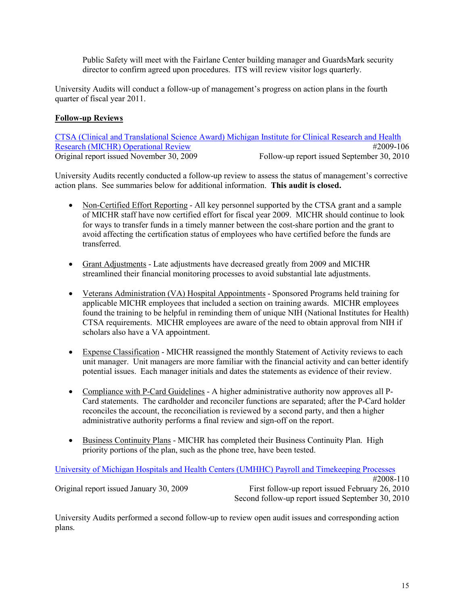Public Safety will meet with the Fairlane Center building manager and GuardsMark security director to confirm agreed upon procedures. ITS will review visitor logs quarterly.

University Audits will conduct a follow-up of management's progress on action plans in the fourth quarter of fiscal year 2011.

# **Follow-up Reviews**

CTSA (Clinical and Translational Science Award) Michigan Institute for Clinical Research and Health **Research (MICHR) Operational Review** #2009-106 Original report issued November 30, 2009 Follow-up report issued September 30, 2010

University Audits recently conducted a follow-up review to assess the status of management's corrective action plans. See summaries below for additional information. This audit is closed.

- Non-Certified Effort Reporting All key personnel supported by the CTSA grant and a sample of MICHR staff have now certified effort for fiscal year 2009. MICHR should continue to look for ways to transfer funds in a timely manner between the cost-share portion and the grant to avoid affecting the certification status of employees who have certified before the funds are transferred.
- Grant Adjustments Late adjustments have decreased greatly from 2009 and MICHR streamlined their financial monitoring processes to avoid substantial late adjustments.
- Veterans Administration (VA) Hospital Appointments Sponsored Programs held training for applicable MICHR employees that included a section on training awards. MICHR employees found the training to be helpful in reminding them of unique NIH (National Institutes for Health) CTSA requirements. MICHR employees are aware of the need to obtain approval from NIH if scholars also have a VA appointment.
- Expense Classification MICHR reassigned the monthly Statement of Activity reviews to each unit manager. Unit managers are more familiar with the financial activity and can better identify potential issues. Each manager initials and dates the statements as evidence of their review.
- Compliance with P-Card Guidelines A higher administrative authority now approves all P-Card statements. The cardholder and reconciler functions are separated; after the P-Card holder reconciles the account, the reconciliation is reviewed by a second party, and then a higher administrative authority performs a final review and sign-off on the report.
- Business Continuity Plans MICHR has completed their Business Continuity Plan. High priority portions of the plan, such as the phone tree, have been tested.

University of Michigan Hospitals and Health Centers (UMHHC) Payroll and Timekeeping Processes #2008-110 Original report issued January 30, 2009 First follow-up report issued February 26, 2010 Second follow-up report issued September 30, 2010

University Audits performed a second follow-up to review open audit issues and corresponding action plans.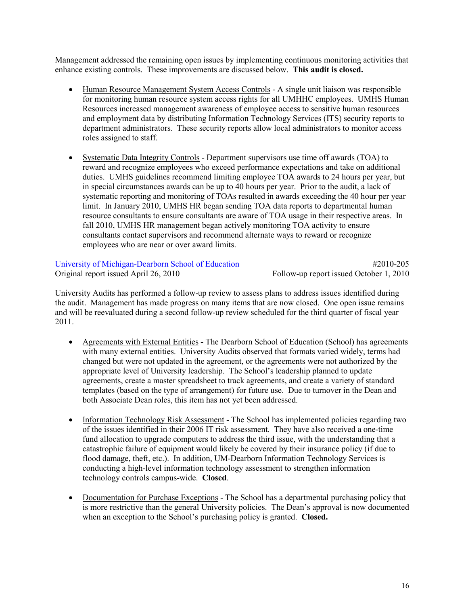Management addressed the remaining open issues by implementing continuous monitoring activities that enhance existing controls. These improvements are discussed below. This audit is closed.

- Human Resource Management System Access Controls A single unit liaison was responsible  $\bullet$ for monitoring human resource system access rights for all UMHHC employees. UMHS Human Resources increased management awareness of employee access to sensitive human resources and employment data by distributing Information Technology Services (ITS) security reports to department administrators. These security reports allow local administrators to monitor access roles assigned to staff.
- Systematic Data Integrity Controls Department supervisors use time off awards (TOA) to  $\bullet$ reward and recognize employees who exceed performance expectations and take on additional duties. UMHS guidelines recommend limiting employee TOA awards to 24 hours per year, but in special circumstances awards can be up to 40 hours per year. Prior to the audit, a lack of systematic reporting and monitoring of TOAs resulted in awards exceeding the 40 hour per year limit. In January 2010, UMHS HR began sending TOA data reports to departmental human resource consultants to ensure consultants are aware of TOA usage in their respective areas. In fall 2010, UMHS HR management began actively monitoring TOA activity to ensure consultants contact supervisors and recommend alternate ways to reward or recognize employees who are near or over award limits.

University of Michigan-Dearborn School of Education Original report issued April 26, 2010

#2010-205 Follow-up report issued October 1, 2010

University Audits has performed a follow-up review to assess plans to address issues identified during the audit. Management has made progress on many items that are now closed. One open issue remains and will be reevaluated during a second follow-up review scheduled for the third quarter of fiscal year 2011.

- Agreements with External Entities The Dearborn School of Education (School) has agreements  $\bullet$ with many external entities. University Audits observed that formats varied widely, terms had changed but were not updated in the agreement, or the agreements were not authorized by the appropriate level of University leadership. The School's leadership planned to update agreements, create a master spreadsheet to track agreements, and create a variety of standard templates (based on the type of arrangement) for future use. Due to turnover in the Dean and both Associate Dean roles, this item has not yet been addressed.
- Information Technology Risk Assessment The School has implemented policies regarding two of the issues identified in their 2006 IT risk assessment. They have also received a one-time fund allocation to upgrade computers to address the third issue, with the understanding that a catastrophic failure of equipment would likely be covered by their insurance policy (if due to flood damage, theft, etc.). In addition, UM-Dearborn Information Technology Services is conducting a high-level information technology assessment to strengthen information technology controls campus-wide. Closed.
- Documentation for Purchase Exceptions The School has a departmental purchasing policy that  $\bullet$ is more restrictive than the general University policies. The Dean's approval is now documented when an exception to the School's purchasing policy is granted. Closed.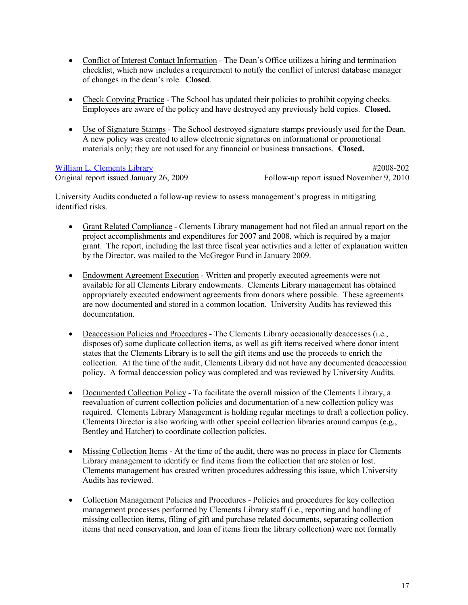- Conflict of Interest Contact Information The Dean's Office utilizes a hiring and termination checklist, which now includes a requirement to notify the conflict of interest database manager of changes in the dean's role. Closed.
- Check Copying Practice The School has updated their policies to prohibit copying checks. Employees are aware of the policy and have destroyed any previously held copies. Closed.
- Use of Signature Stamps The School destroved signature stamps previously used for the Dean. A new policy was created to allow electronic signatures on informational or promotional materials only; they are not used for any financial or business transactions. Closed.

William L. Clements Library Original report issued January 26, 2009

#2008-202 Follow-up report issued November 9, 2010

University Audits conducted a follow-up review to assess management's progress in mitigating identified risks

- Grant Related Compliance Clements Library management had not filed an annual report on the project accomplishments and expenditures for 2007 and 2008, which is required by a major grant. The report, including the last three fiscal year activities and a letter of explanation written by the Director, was mailed to the McGregor Fund in January 2009.
- Endowment Agreement Execution Written and properly executed agreements were not available for all Clements Library endowments. Clements Library management has obtained appropriately executed endowment agreements from donors where possible. These agreements are now documented and stored in a common location. University Audits has reviewed this documentation.
- Deaccession Policies and Procedures The Clements Library occasionally deaccesses (i.e., disposes of) some duplicate collection items, as well as gift items received where donor intent states that the Clements Library is to sell the gift items and use the proceeds to enrich the collection. At the time of the audit, Clements Library did not have any documented deaccession policy. A formal deaccession policy was completed and was reviewed by University Audits.
- Documented Collection Policy To facilitate the overall mission of the Clements Library, a reevaluation of current collection policies and documentation of a new collection policy was required. Clements Library Management is holding regular meetings to draft a collection policy. Clements Director is also working with other special collection libraries around campus (e.g., Bentley and Hatcher) to coordinate collection policies.
- Missing Collection Items At the time of the audit, there was no process in place for Clements Library management to identify or find items from the collection that are stolen or lost. Clements management has created written procedures addressing this issue, which University Audits has reviewed.
- Collection Management Policies and Procedures Policies and procedures for key collection management processes performed by Clements Library staff (i.e., reporting and handling of missing collection items, filing of gift and purchase related documents, separating collection items that need conservation, and loan of items from the library collection) were not formally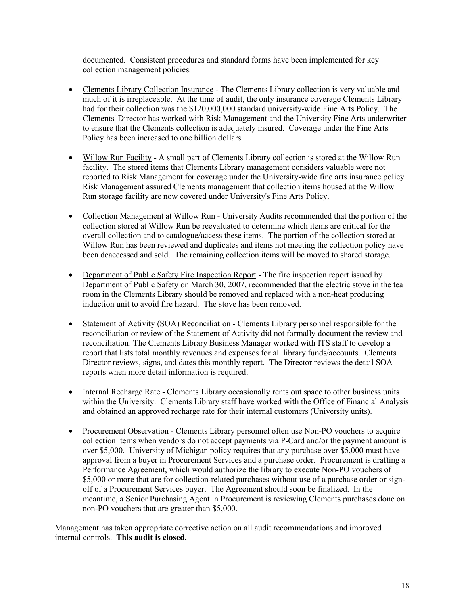documented. Consistent procedures and standard forms have been implemented for key collection management policies.

- Clements Library Collection Insurance The Clements Library collection is very valuable and much of it is irreplaceable. At the time of audit, the only insurance coverage Clements Library had for their collection was the \$120,000,000 standard university-wide Fine Arts Policy. The Clements' Director has worked with Risk Management and the University Fine Arts underwriter to ensure that the Clements collection is adequately insured. Coverage under the Fine Arts Policy has been increased to one billion dollars.
- Willow Run Facility A small part of Clements Library collection is stored at the Willow Run facility. The stored items that Clements Library management considers valuable were not reported to Risk Management for coverage under the University-wide fine arts insurance policy. Risk Management assured Clements management that collection items housed at the Willow Run storage facility are now covered under University's Fine Arts Policy.
- Collection Management at Willow Run University Audits recommended that the portion of the collection stored at Willow Run be reevaluated to determine which items are critical for the overall collection and to catalogue/access these items. The portion of the collection stored at Willow Run has been reviewed and duplicates and items not meeting the collection policy have been deaccessed and sold. The remaining collection items will be moved to shared storage.
- Department of Public Safety Fire Inspection Report The fire inspection report issued by Department of Public Safety on March 30, 2007, recommended that the electric stove in the tea room in the Clements Library should be removed and replaced with a non-heat producing induction unit to avoid fire hazard. The stove has been removed.
- Statement of Activity (SOA) Reconciliation Clements Library personnel responsible for the  $\bullet$ reconciliation or review of the Statement of Activity did not formally document the review and reconciliation. The Clements Library Business Manager worked with ITS staff to develop a report that lists total monthly revenues and expenses for all library funds/accounts. Clements Director reviews, signs, and dates this monthly report. The Director reviews the detail SOA reports when more detail information is required.
- Internal Recharge Rate Clements Library occasionally rents out space to other business units  $\bullet$ within the University. Clements Library staff have worked with the Office of Financial Analysis and obtained an approved recharge rate for their internal customers (University units).
- Procurement Observation Clements Library personnel often use Non-PO vouchers to acquire collection items when vendors do not accept payments via P-Card and/or the payment amount is over \$5,000. University of Michigan policy requires that any purchase over \$5,000 must have approval from a buyer in Procurement Services and a purchase order. Procurement is drafting a Performance Agreement, which would authorize the library to execute Non-PO vouchers of \$5,000 or more that are for collection-related purchases without use of a purchase order or signoff of a Procurement Services buyer. The Agreement should soon be finalized. In the meantime, a Senior Purchasing Agent in Procurement is reviewing Clements purchases done on non-PO vouchers that are greater than \$5,000.

Management has taken appropriate corrective action on all audit recommendations and improved internal controls. This audit is closed.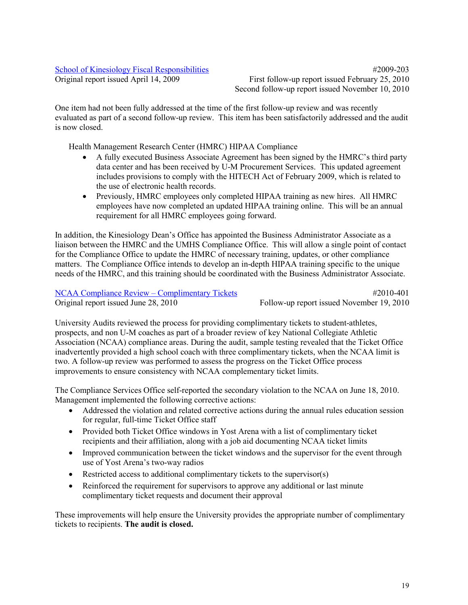# **School of Kinesiology Fiscal Responsibilities**

Original report issued April 14, 2009

 $\#2009 - 203$ First follow-up report issued February 25, 2010 Second follow-up report issued November 10, 2010

One item had not been fully addressed at the time of the first follow-up review and was recently evaluated as part of a second follow-up review. This item has been satisfactorily addressed and the audit is now closed.

Health Management Research Center (HMRC) HIPAA Compliance

- A fully executed Business Associate Agreement has been signed by the HMRC's third party data center and has been received by U-M Procurement Services. This updated agreement includes provisions to comply with the HITECH Act of February 2009, which is related to the use of electronic health records.
- Previously, HMRC employees only completed HIPAA training as new hires. All HMRC employees have now completed an updated HIPAA training online. This will be an annual requirement for all HMRC employees going forward.

In addition, the Kinesiology Dean's Office has appointed the Business Administrator Associate as a liaison between the HMRC and the UMHS Compliance Office. This will allow a single point of contact for the Compliance Office to update the HMRC of necessary training, updates, or other compliance matters. The Compliance Office intends to develop an in-depth HIPAA training specific to the unique needs of the HMRC, and this training should be coordinated with the Business Administrator Associate.

## **NCAA Compliance Review – Complimentary Tickets**

Original report issued June 28, 2010

#2010-401 Follow-up report issued November 19, 2010

University Audits reviewed the process for providing complimentary tickets to student-athletes, prospects, and non U-M coaches as part of a broader review of key National Collegiate Athletic Association (NCAA) compliance areas. During the audit, sample testing revealed that the Ticket Office inadvertently provided a high school coach with three complimentary tickets, when the NCAA limit is two. A follow-up review was performed to assess the progress on the Ticket Office process improvements to ensure consistency with NCAA complementary ticket limits.

The Compliance Services Office self-reported the secondary violation to the NCAA on June 18, 2010. Management implemented the following corrective actions:

- Addressed the violation and related corrective actions during the annual rules education session for regular, full-time Ticket Office staff
- Provided both Ticket Office windows in Yost Arena with a list of complimentary ticket recipients and their affiliation, along with a job aid documenting NCAA ticket limits
- $\bullet$ Improved communication between the ticket windows and the supervisor for the event through use of Yost Arena's two-way radios
- Restricted access to additional complimentary tickets to the supervisor(s)
- Reinforced the requirement for supervisors to approve any additional or last minute  $\bullet$ complimentary ticket requests and document their approval

These improvements will help ensure the University provides the appropriate number of complimentary tickets to recipients. The audit is closed.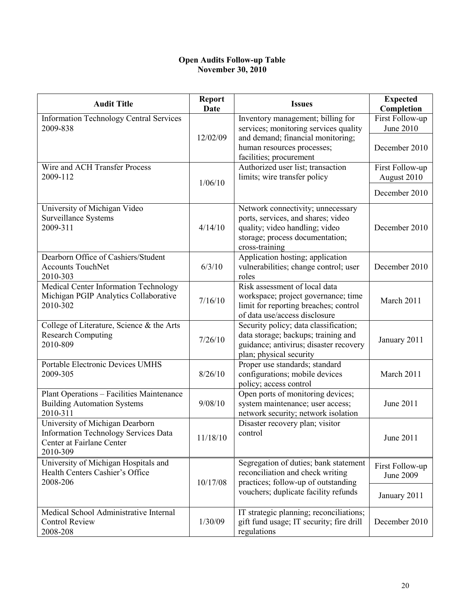## **Open Audits Follow-up Table November 30, 2010**

| <b>Audit Title</b>                                                                                                      | <b>Report</b><br><b>Date</b> | <b>Issues</b>                                                                                                                                                  | <b>Expected</b><br>Completion  |
|-------------------------------------------------------------------------------------------------------------------------|------------------------------|----------------------------------------------------------------------------------------------------------------------------------------------------------------|--------------------------------|
| <b>Information Technology Central Services</b><br>2009-838                                                              |                              | Inventory management; billing for<br>services; monitoring services quality                                                                                     | First Follow-up<br>June 2010   |
|                                                                                                                         | 12/02/09                     | and demand; financial monitoring;<br>human resources processes;<br>facilities; procurement                                                                     | December 2010                  |
| Wire and ACH Transfer Process<br>2009-112                                                                               | 1/06/10                      | Authorized user list; transaction<br>limits; wire transfer policy                                                                                              | First Follow-up<br>August 2010 |
|                                                                                                                         |                              |                                                                                                                                                                | December 2010                  |
| University of Michigan Video<br>Surveillance Systems<br>2009-311                                                        | 4/14/10                      | Network connectivity; unnecessary<br>ports, services, and shares; video<br>quality; video handling; video<br>storage; process documentation;<br>cross-training | December 2010                  |
| Dearborn Office of Cashiers/Student<br><b>Accounts TouchNet</b><br>2010-303                                             | 6/3/10                       | Application hosting; application<br>vulnerabilities; change control; user<br>roles                                                                             | December 2010                  |
| Medical Center Information Technology<br>Michigan PGIP Analytics Collaborative<br>2010-302                              | 7/16/10                      | Risk assessment of local data<br>workspace; project governance; time<br>limit for reporting breaches; control<br>of data use/access disclosure                 | March 2011                     |
| College of Literature, Science & the Arts<br><b>Research Computing</b><br>2010-809                                      | 7/26/10                      | Security policy; data classification;<br>data storage; backups; training and<br>guidance; antivirus; disaster recovery<br>plan; physical security              | January 2011                   |
| Portable Electronic Devices UMHS<br>2009-305                                                                            | 8/26/10                      | Proper use standards; standard<br>configurations; mobile devices<br>policy; access control                                                                     | March 2011                     |
| Plant Operations - Facilities Maintenance<br><b>Building Automation Systems</b><br>2010-311                             | 9/08/10                      | Open ports of monitoring devices;<br>system maintenance; user access;<br>network security; network isolation                                                   | June 2011                      |
| University of Michigan Dearborn<br><b>Information Technology Services Data</b><br>Center at Fairlane Center<br>2010-309 | 11/18/10                     | Disaster recovery plan; visitor<br>control                                                                                                                     | June 2011                      |
| University of Michigan Hospitals and<br>Health Centers Cashier's Office<br>2008-206                                     | 10/17/08                     | Segregation of duties; bank statement<br>reconciliation and check writing<br>practices; follow-up of outstanding                                               | First Follow-up<br>June 2009   |
|                                                                                                                         |                              | vouchers; duplicate facility refunds                                                                                                                           | January 2011                   |
| Medical School Administrative Internal<br><b>Control Review</b><br>2008-208                                             | 1/30/09                      | IT strategic planning; reconciliations;<br>gift fund usage; IT security; fire drill<br>regulations                                                             | December 2010                  |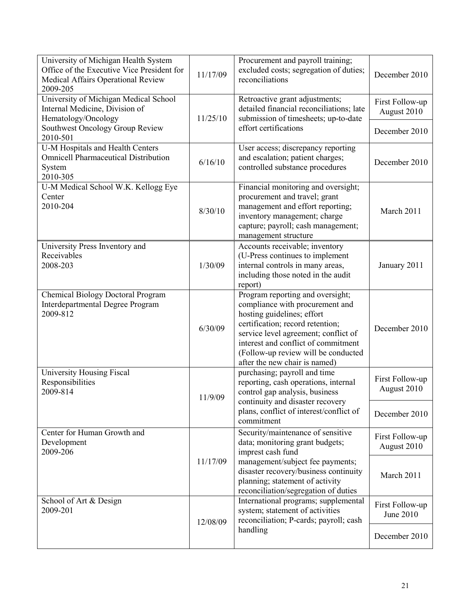| University of Michigan Health System<br>Office of the Executive Vice President for<br>Medical Affairs Operational Review<br>2009-205 | 11/17/09 | Procurement and payroll training;<br>excluded costs; segregation of duties;<br>reconciliations                                                                                                                                                                                               | December 2010                  |
|--------------------------------------------------------------------------------------------------------------------------------------|----------|----------------------------------------------------------------------------------------------------------------------------------------------------------------------------------------------------------------------------------------------------------------------------------------------|--------------------------------|
| University of Michigan Medical School<br>Internal Medicine, Division of<br>Hematology/Oncology                                       | 11/25/10 | Retroactive grant adjustments;<br>detailed financial reconciliations; late<br>submission of timesheets; up-to-date                                                                                                                                                                           | First Follow-up<br>August 2010 |
| Southwest Oncology Group Review<br>2010-501                                                                                          |          | effort certifications                                                                                                                                                                                                                                                                        | December 2010                  |
| U-M Hospitals and Health Centers<br><b>Omnicell Pharmaceutical Distribution</b><br>System<br>2010-305                                | 6/16/10  | User access; discrepancy reporting<br>and escalation; patient charges;<br>controlled substance procedures                                                                                                                                                                                    | December 2010                  |
| U-M Medical School W.K. Kellogg Eye<br>Center<br>2010-204                                                                            | 8/30/10  | Financial monitoring and oversight;<br>procurement and travel; grant<br>management and effort reporting;<br>inventory management; charge<br>capture; payroll; cash management;<br>management structure                                                                                       | March 2011                     |
| University Press Inventory and<br>Receivables<br>2008-203                                                                            | 1/30/09  | Accounts receivable; inventory<br>(U-Press continues to implement<br>internal controls in many areas,<br>including those noted in the audit<br>report)                                                                                                                                       | January 2011                   |
| <b>Chemical Biology Doctoral Program</b><br>Interdepartmental Degree Program<br>2009-812                                             | 6/30/09  | Program reporting and oversight;<br>compliance with procurement and<br>hosting guidelines; effort<br>certification; record retention;<br>service level agreement; conflict of<br>interest and conflict of commitment<br>(Follow-up review will be conducted<br>after the new chair is named) | December 2010                  |
| University Housing Fiscal<br>Responsibilities<br>2009-814                                                                            | 11/9/09  | purchasing; payroll and time<br>reporting, cash operations, internal<br>control gap analysis, business                                                                                                                                                                                       | First Follow-up<br>August 2010 |
|                                                                                                                                      |          | continuity and disaster recovery<br>plans, conflict of interest/conflict of<br>commitment                                                                                                                                                                                                    | December 2010                  |
| Center for Human Growth and<br>Development<br>2009-206                                                                               | 11/17/09 | Security/maintenance of sensitive<br>data; monitoring grant budgets;<br>imprest cash fund<br>management/subject fee payments;<br>disaster recovery/business continuity<br>planning; statement of activity<br>reconciliation/segregation of duties                                            | First Follow-up<br>August 2010 |
|                                                                                                                                      |          |                                                                                                                                                                                                                                                                                              | March 2011                     |
| School of Art & Design<br>2009-201                                                                                                   | 12/08/09 | International programs; supplemental<br>system; statement of activities<br>reconciliation; P-cards; payroll; cash                                                                                                                                                                            | First Follow-up<br>June 2010   |
|                                                                                                                                      |          | handling                                                                                                                                                                                                                                                                                     | December 2010                  |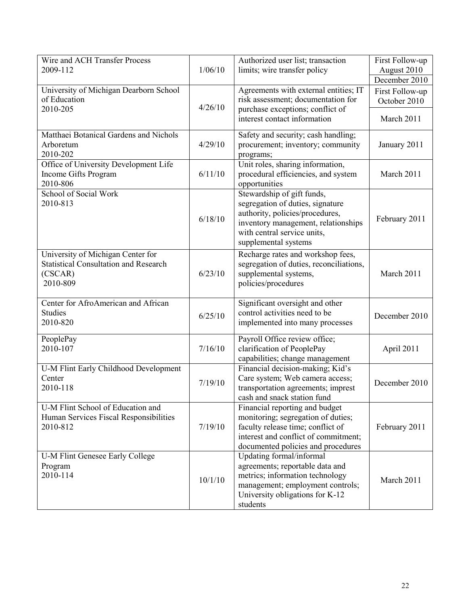| Wire and ACH Transfer Process                |         | Authorized user list; transaction                             | First Follow-up |
|----------------------------------------------|---------|---------------------------------------------------------------|-----------------|
| 2009-112                                     | 1/06/10 | limits; wire transfer policy                                  | August 2010     |
|                                              |         |                                                               | December 2010   |
| University of Michigan Dearborn School       |         | Agreements with external entities; IT                         | First Follow-up |
| of Education                                 |         | risk assessment; documentation for                            | October 2010    |
| 2010-205                                     | 4/26/10 | purchase exceptions; conflict of                              |                 |
|                                              |         | interest contact information                                  | March 2011      |
| Matthaei Botanical Gardens and Nichols       |         | Safety and security; cash handling;                           |                 |
| Arboretum                                    | 4/29/10 | procurement; inventory; community                             | January 2011    |
| 2010-202                                     |         | programs;                                                     |                 |
| Office of University Development Life        |         | Unit roles, sharing information,                              |                 |
| Income Gifts Program                         | 6/11/10 | procedural efficiencies, and system                           | March 2011      |
| 2010-806                                     |         | opportunities                                                 |                 |
| School of Social Work                        |         | Stewardship of gift funds,                                    |                 |
| 2010-813                                     |         | segregation of duties, signature                              |                 |
|                                              | 6/18/10 | authority, policies/procedures,                               | February 2011   |
|                                              |         | inventory management, relationships                           |                 |
|                                              |         | with central service units,                                   |                 |
|                                              |         | supplemental systems                                          |                 |
| University of Michigan Center for            |         | Recharge rates and workshop fees,                             |                 |
| <b>Statistical Consultation and Research</b> |         | segregation of duties, reconciliations,                       |                 |
| (CSCAR)                                      | 6/23/10 | supplemental systems,                                         | March 2011      |
| 2010-809                                     |         | policies/procedures                                           |                 |
| Center for AfroAmerican and African          |         | Significant oversight and other                               |                 |
| <b>Studies</b>                               | 6/25/10 | control activities need to be                                 | December 2010   |
| 2010-820                                     |         | implemented into many processes                               |                 |
|                                              |         |                                                               |                 |
| PeoplePay<br>2010-107                        | 7/16/10 | Payroll Office review office;                                 |                 |
|                                              |         | clarification of PeoplePay<br>capabilities; change management | April 2011      |
| U-M Flint Early Childhood Development        |         | Financial decision-making; Kid's                              |                 |
| Center                                       |         | Care system; Web camera access;                               |                 |
| 2010-118                                     | 7/19/10 | transportation agreements; imprest                            | December 2010   |
|                                              |         | cash and snack station fund                                   |                 |
| U-M Flint School of Education and            |         | Financial reporting and budget                                |                 |
| Human Services Fiscal Responsibilities       |         | monitoring; segregation of duties;                            |                 |
| 2010-812                                     | 7/19/10 | faculty release time; conflict of                             | February 2011   |
|                                              |         | interest and conflict of commitment;                          |                 |
|                                              |         | documented policies and procedures                            |                 |
| U-M Flint Genesee Early College              |         | Updating formal/informal                                      |                 |
| Program                                      |         | agreements; reportable data and                               |                 |
| 2010-114                                     | 10/1/10 | metrics; information technology                               | March 2011      |
|                                              |         | management; employment controls;                              |                 |
|                                              |         | University obligations for K-12                               |                 |
|                                              |         | students                                                      |                 |